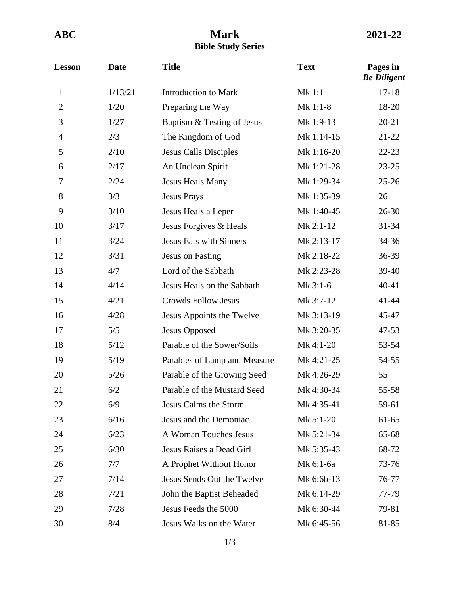## **ABC Mark 2021-22 Bible Study Series**

| <b>Lesson</b>  | <b>Date</b> | <b>Title</b>                   | <b>Text</b> | Pages in<br><b>Be Diligent</b> |
|----------------|-------------|--------------------------------|-------------|--------------------------------|
| $\mathbf{1}$   | 1/13/21     | <b>Introduction to Mark</b>    | Mk 1:1      | $17 - 18$                      |
| $\overline{2}$ | 1/20        | Preparing the Way              | $Mk$ 1:1-8  | 18-20                          |
| 3              | 1/27        | Baptism & Testing of Jesus     | Mk 1:9-13   | $20 - 21$                      |
| $\overline{4}$ | 2/3         | The Kingdom of God             | Mk 1:14-15  | $21 - 22$                      |
| 5              | 2/10        | <b>Jesus Calls Disciples</b>   | Mk 1:16-20  | $22 - 23$                      |
| 6              | 2/17        | An Unclean Spirit              | Mk 1:21-28  | $23 - 25$                      |
| 7              | 2/24        | Jesus Heals Many               | Mk 1:29-34  | $25 - 26$                      |
| 8              | 3/3         | <b>Jesus Prays</b>             | Mk 1:35-39  | 26                             |
| 9              | 3/10        | Jesus Heals a Leper            | Mk 1:40-45  | $26 - 30$                      |
| 10             | 3/17        | Jesus Forgives & Heals         | Mk 2:1-12   | $31 - 34$                      |
| 11             | 3/24        | <b>Jesus Eats with Sinners</b> | Mk 2:13-17  | 34-36                          |
| 12             | 3/31        | <b>Jesus on Fasting</b>        | Mk 2:18-22  | 36-39                          |
| 13             | 4/7         | Lord of the Sabbath            | Mk 2:23-28  | 39-40                          |
| 14             | 4/14        | Jesus Heals on the Sabbath     | Mk 3:1-6    | 40-41                          |
| 15             | 4/21        | <b>Crowds Follow Jesus</b>     | Mk 3:7-12   | 41-44                          |
| 16             | 4/28        | Jesus Appoints the Twelve      | Mk 3:13-19  | 45-47                          |
| 17             | 5/5         | Jesus Opposed                  | Mk 3:20-35  | $47 - 53$                      |
| 18             | 5/12        | Parable of the Sower/Soils     | Mk 4:1-20   | 53-54                          |
| 19             | 5/19        | Parables of Lamp and Measure   | Mk 4:21-25  | 54-55                          |
| 20             | $5/26$      | Parable of the Growing Seed    | Mk 4:26-29  | 55                             |
| 21             | 6/2         | Parable of the Mustard Seed    | Mk 4:30-34  | 55-58                          |
| 22             | 6/9         | Jesus Calms the Storm          | Mk 4:35-41  | 59-61                          |
| 23             | 6/16        | Jesus and the Demoniac         | $Mk$ 5:1-20 | 61-65                          |
| 24             | 6/23        | A Woman Touches Jesus          | Mk 5:21-34  | 65-68                          |
| 25             | 6/30        | Jesus Raises a Dead Girl       | Mk 5:35-43  | 68-72                          |
| 26             | 7/7         | A Prophet Without Honor        | Mk 6:1-6a   | 73-76                          |
| 27             | 7/14        | Jesus Sends Out the Twelve     | Mk 6:6b-13  | 76-77                          |
| 28             | 7/21        | John the Baptist Beheaded      | Mk 6:14-29  | 77-79                          |
| 29             | 7/28        | Jesus Feeds the 5000           | Mk 6:30-44  | 79-81                          |
| 30             | 8/4         | Jesus Walks on the Water       | Mk 6:45-56  | 81-85                          |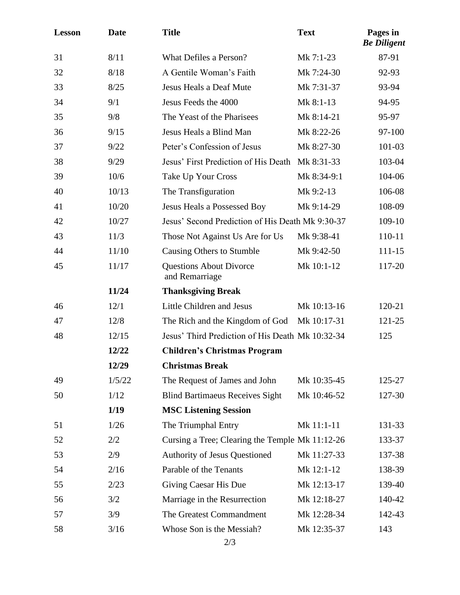| <b>Lesson</b> | <b>Date</b> | <b>Title</b>                                     | <b>Text</b> | Pages in<br><b>Be Diligent</b> |
|---------------|-------------|--------------------------------------------------|-------------|--------------------------------|
| 31            | 8/11        | What Defiles a Person?                           | Mk 7:1-23   | 87-91                          |
| 32            | 8/18        | A Gentile Woman's Faith                          | Mk 7:24-30  | 92-93                          |
| 33            | 8/25        | Jesus Heals a Deaf Mute                          | Mk 7:31-37  | 93-94                          |
| 34            | 9/1         | Jesus Feeds the 4000                             | Mk 8:1-13   | 94-95                          |
| 35            | 9/8         | The Yeast of the Pharisees                       | Mk 8:14-21  | 95-97                          |
| 36            | 9/15        | Jesus Heals a Blind Man                          | Mk 8:22-26  | 97-100                         |
| 37            | 9/22        | Peter's Confession of Jesus                      | Mk 8:27-30  | 101-03                         |
| 38            | 9/29        | Jesus' First Prediction of His Death             | Mk 8:31-33  | 103-04                         |
| 39            | 10/6        | Take Up Your Cross                               | Mk 8:34-9:1 | 104-06                         |
| 40            | 10/13       | The Transfiguration                              | Mk 9:2-13   | 106-08                         |
| 41            | 10/20       | Jesus Heals a Possessed Boy                      | Mk 9:14-29  | 108-09                         |
| 42            | 10/27       | Jesus' Second Prediction of His Death Mk 9:30-37 | 109-10      |                                |
| 43            | 11/3        | Those Not Against Us Are for Us                  | Mk 9:38-41  | 110-11                         |
| 44            | 11/10       | Causing Others to Stumble                        | Mk 9:42-50  | 111-15                         |
| 45            | 11/17       | <b>Questions About Divorce</b><br>and Remarriage | Mk 10:1-12  | 117-20                         |
|               | 11/24       | <b>Thanksgiving Break</b>                        |             |                                |
| 46            | 12/1        | Little Children and Jesus                        | Mk 10:13-16 | 120-21                         |
| 47            | 12/8        | The Rich and the Kingdom of God                  | Mk 10:17-31 | 121-25                         |
| 48            | 12/15       | Jesus' Third Prediction of His Death Mk 10:32-34 |             | 125                            |
|               | 12/22       | <b>Children's Christmas Program</b>              |             |                                |
|               | 12/29       | <b>Christmas Break</b>                           |             |                                |
| 49            | 1/5/22      | The Request of James and John                    | Mk 10:35-45 | 125-27                         |
| 50            | 1/12        | <b>Blind Bartimaeus Receives Sight</b>           | Mk 10:46-52 | 127-30                         |
|               | 1/19        | <b>MSC Listening Session</b>                     |             |                                |
| 51            | 1/26        | The Triumphal Entry                              | Mk 11:1-11  | 131-33                         |
| 52            | 2/2         | Cursing a Tree; Clearing the Temple Mk 11:12-26  |             | 133-37                         |
| 53            | 2/9         | Authority of Jesus Questioned                    | Mk 11:27-33 | 137-38                         |
| 54            | 2/16        | Parable of the Tenants                           | Mk 12:1-12  | 138-39                         |
| 55            | 2/23        | Giving Caesar His Due                            | Mk 12:13-17 | 139-40                         |
| 56            | 3/2         | Marriage in the Resurrection                     | Mk 12:18-27 | 140-42                         |
| 57            | 3/9         | The Greatest Commandment                         | Mk 12:28-34 | 142-43                         |
| 58            | 3/16        | Whose Son is the Messiah?<br>2/3                 | Mk 12:35-37 | 143                            |